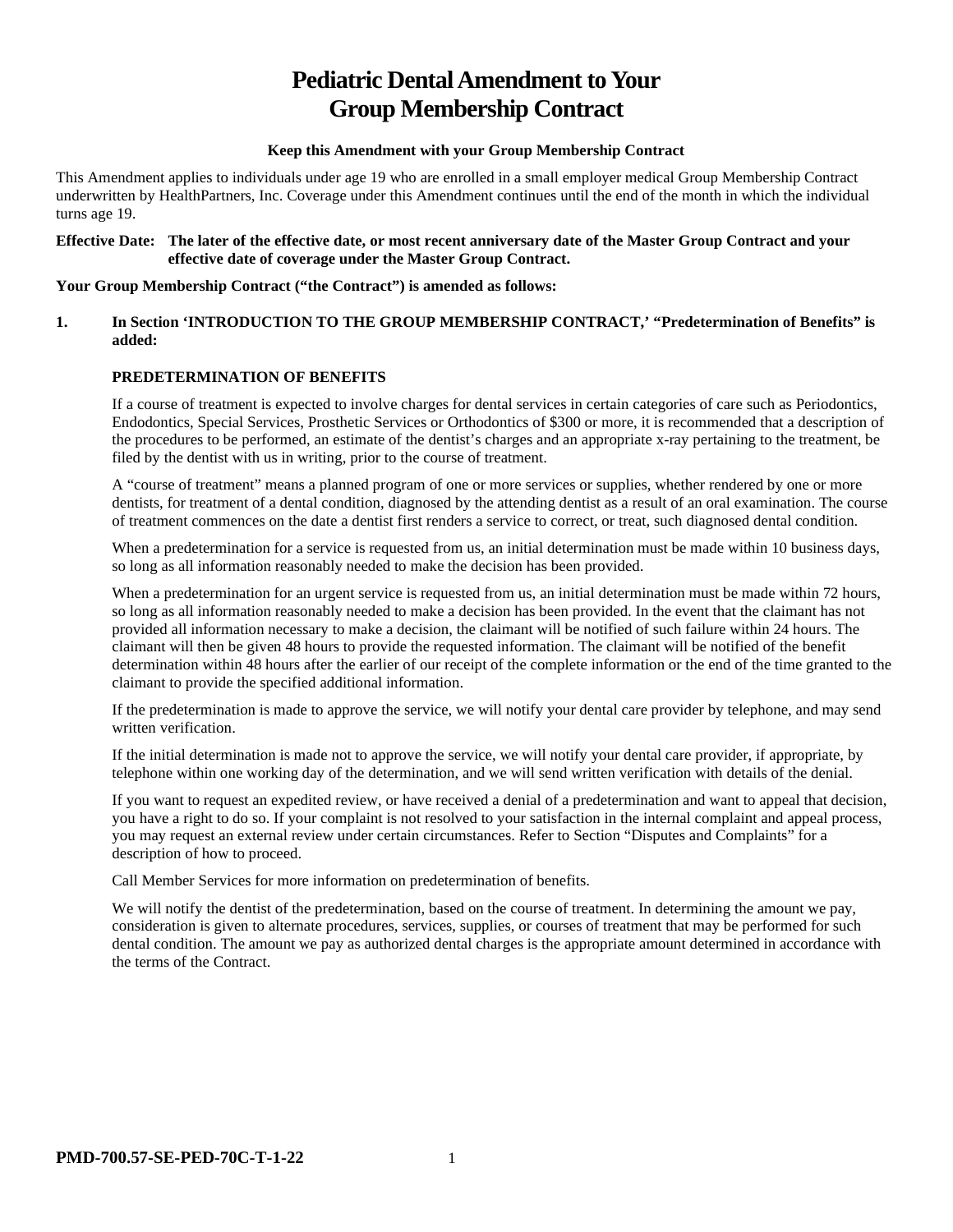# **Pediatric Dental Amendment to Your Group Membership Contract**

#### **Keep this Amendment with your Group Membership Contract**

This Amendment applies to individuals under age 19 who are enrolled in a small employer medical Group Membership Contract underwritten by HealthPartners, Inc. Coverage under this Amendment continues until the end of the month in which the individual turns age 19.

#### **Effective Date: The later of the effective date, or most recent anniversary date of the Master Group Contract and your effective date of coverage under the Master Group Contract.**

#### **Your Group Membership Contract ("the Contract") is amended as follows:**

#### **1. In Section 'INTRODUCTION TO THE GROUP MEMBERSHIP CONTRACT,' "Predetermination of Benefits" is added:**

# **PREDETERMINATION OF BENEFITS**

If a course of treatment is expected to involve charges for dental services in certain categories of care such as Periodontics, Endodontics, Special Services, Prosthetic Services or Orthodontics of \$300 or more, it is recommended that a description of the procedures to be performed, an estimate of the dentist's charges and an appropriate x-ray pertaining to the treatment, be filed by the dentist with us in writing, prior to the course of treatment.

A "course of treatment" means a planned program of one or more services or supplies, whether rendered by one or more dentists, for treatment of a dental condition, diagnosed by the attending dentist as a result of an oral examination. The course of treatment commences on the date a dentist first renders a service to correct, or treat, such diagnosed dental condition.

When a predetermination for a service is requested from us, an initial determination must be made within 10 business days, so long as all information reasonably needed to make the decision has been provided.

When a predetermination for an urgent service is requested from us, an initial determination must be made within 72 hours, so long as all information reasonably needed to make a decision has been provided. In the event that the claimant has not provided all information necessary to make a decision, the claimant will be notified of such failure within 24 hours. The claimant will then be given 48 hours to provide the requested information. The claimant will be notified of the benefit determination within 48 hours after the earlier of our receipt of the complete information or the end of the time granted to the claimant to provide the specified additional information.

If the predetermination is made to approve the service, we will notify your dental care provider by telephone, and may send written verification.

If the initial determination is made not to approve the service, we will notify your dental care provider, if appropriate, by telephone within one working day of the determination, and we will send written verification with details of the denial.

If you want to request an expedited review, or have received a denial of a predetermination and want to appeal that decision, you have a right to do so. If your complaint is not resolved to your satisfaction in the internal complaint and appeal process, you may request an external review under certain circumstances. Refer to Section "Disputes and Complaints" for a description of how to proceed.

Call Member Services for more information on predetermination of benefits.

We will notify the dentist of the predetermination, based on the course of treatment. In determining the amount we pay, consideration is given to alternate procedures, services, supplies, or courses of treatment that may be performed for such dental condition. The amount we pay as authorized dental charges is the appropriate amount determined in accordance with the terms of the Contract.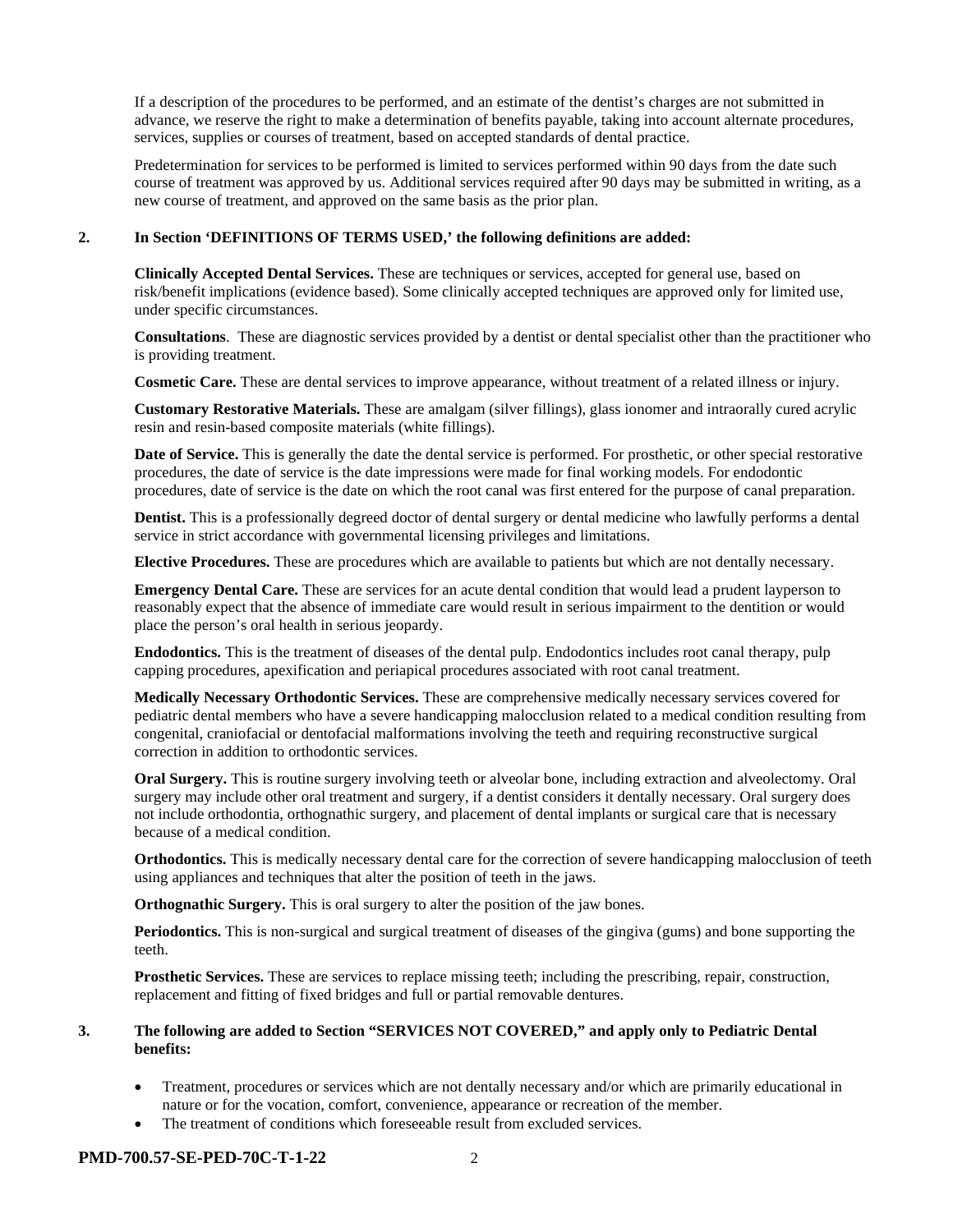If a description of the procedures to be performed, and an estimate of the dentist's charges are not submitted in advance, we reserve the right to make a determination of benefits payable, taking into account alternate procedures, services, supplies or courses of treatment, based on accepted standards of dental practice.

Predetermination for services to be performed is limited to services performed within 90 days from the date such course of treatment was approved by us. Additional services required after 90 days may be submitted in writing, as a new course of treatment, and approved on the same basis as the prior plan.

#### **2. In Section 'DEFINITIONS OF TERMS USED,' the following definitions are added:**

**Clinically Accepted Dental Services.** These are techniques or services, accepted for general use, based on risk/benefit implications (evidence based). Some clinically accepted techniques are approved only for limited use, under specific circumstances.

**Consultations**. These are diagnostic services provided by a dentist or dental specialist other than the practitioner who is providing treatment.

**Cosmetic Care.** These are dental services to improve appearance, without treatment of a related illness or injury.

**Customary Restorative Materials.** These are amalgam (silver fillings), glass ionomer and intraorally cured acrylic resin and resin-based composite materials (white fillings).

**Date of Service.** This is generally the date the dental service is performed. For prosthetic, or other special restorative procedures, the date of service is the date impressions were made for final working models. For endodontic procedures, date of service is the date on which the root canal was first entered for the purpose of canal preparation.

**Dentist.** This is a professionally degreed doctor of dental surgery or dental medicine who lawfully performs a dental service in strict accordance with governmental licensing privileges and limitations.

**Elective Procedures.** These are procedures which are available to patients but which are not dentally necessary.

**Emergency Dental Care.** These are services for an acute dental condition that would lead a prudent layperson to reasonably expect that the absence of immediate care would result in serious impairment to the dentition or would place the person's oral health in serious jeopardy.

**Endodontics.** This is the treatment of diseases of the dental pulp. Endodontics includes root canal therapy, pulp capping procedures, apexification and periapical procedures associated with root canal treatment.

**Medically Necessary Orthodontic Services.** These are comprehensive medically necessary services covered for pediatric dental members who have a severe handicapping malocclusion related to a medical condition resulting from congenital, craniofacial or dentofacial malformations involving the teeth and requiring reconstructive surgical correction in addition to orthodontic services.

**Oral Surgery.** This is routine surgery involving teeth or alveolar bone, including extraction and alveolectomy. Oral surgery may include other oral treatment and surgery, if a dentist considers it dentally necessary. Oral surgery does not include orthodontia, orthognathic surgery, and placement of dental implants or surgical care that is necessary because of a medical condition.

**Orthodontics.** This is medically necessary dental care for the correction of severe handicapping malocclusion of teeth using appliances and techniques that alter the position of teeth in the jaws.

**Orthognathic Surgery.** This is oral surgery to alter the position of the jaw bones.

**Periodontics.** This is non-surgical and surgical treatment of diseases of the gingiva (gums) and bone supporting the teeth.

**Prosthetic Services.** These are services to replace missing teeth; including the prescribing, repair, construction, replacement and fitting of fixed bridges and full or partial removable dentures.

#### **3. The following are added to Section "SERVICES NOT COVERED," and apply only to Pediatric Dental benefits:**

- Treatment, procedures or services which are not dentally necessary and/or which are primarily educational in nature or for the vocation, comfort, convenience, appearance or recreation of the member.
- The treatment of conditions which foreseeable result from excluded services.

#### **PMD-700.57-SE-PED-70C-T-1-22** 2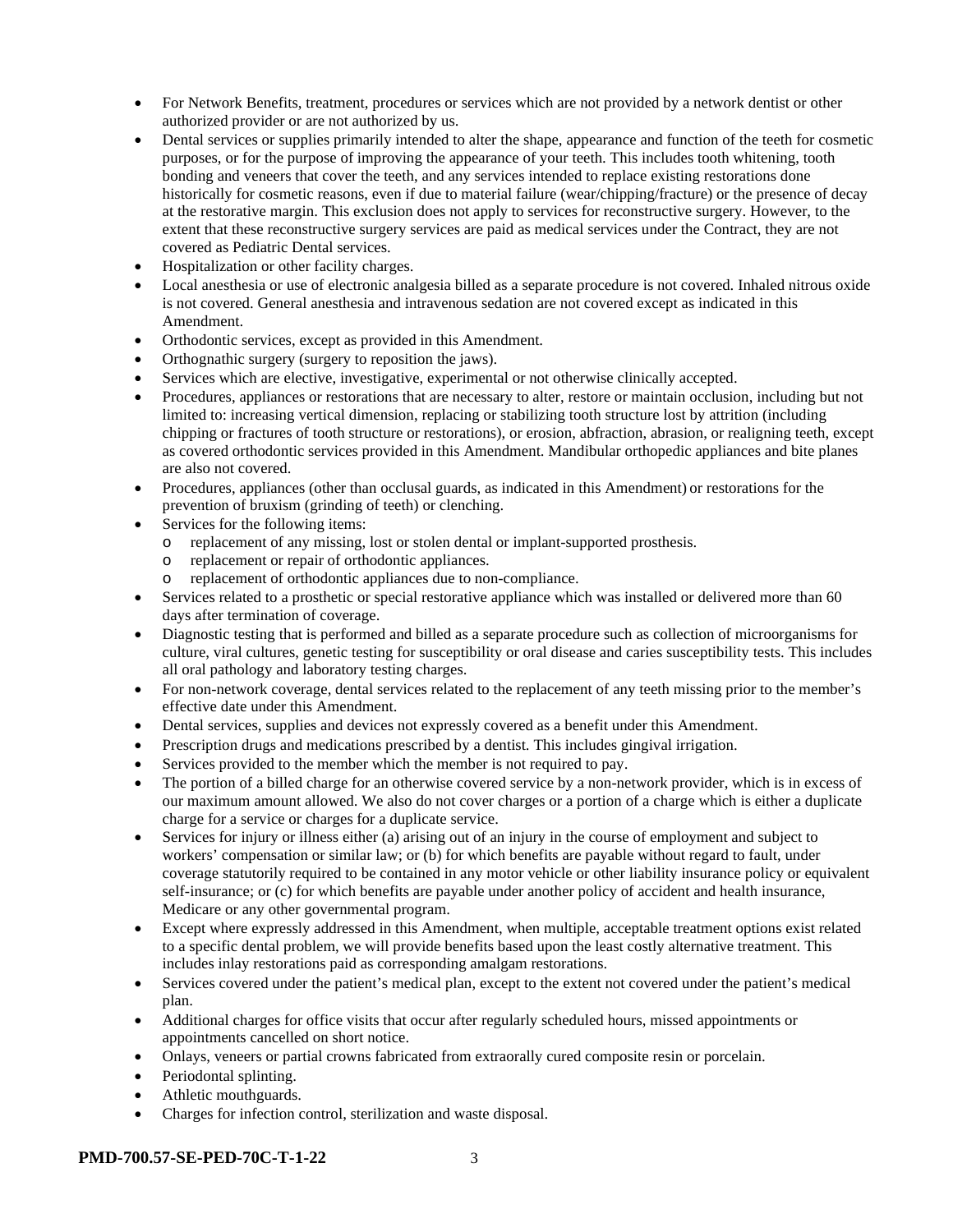- For Network Benefits, treatment, procedures or services which are not provided by a network dentist or other authorized provider or are not authorized by us.
- Dental services or supplies primarily intended to alter the shape, appearance and function of the teeth for cosmetic purposes, or for the purpose of improving the appearance of your teeth. This includes tooth whitening, tooth bonding and veneers that cover the teeth, and any services intended to replace existing restorations done historically for cosmetic reasons, even if due to material failure (wear/chipping/fracture) or the presence of decay at the restorative margin. This exclusion does not apply to services for reconstructive surgery. However, to the extent that these reconstructive surgery services are paid as medical services under the Contract, they are not covered as Pediatric Dental services.
- Hospitalization or other facility charges.
- Local anesthesia or use of electronic analgesia billed as a separate procedure is not covered. Inhaled nitrous oxide is not covered. General anesthesia and intravenous sedation are not covered except as indicated in this Amendment.
- Orthodontic services, except as provided in this Amendment.
- Orthognathic surgery (surgery to reposition the jaws).
- Services which are elective, investigative, experimental or not otherwise clinically accepted.
- Procedures, appliances or restorations that are necessary to alter, restore or maintain occlusion, including but not limited to: increasing vertical dimension, replacing or stabilizing tooth structure lost by attrition (including chipping or fractures of tooth structure or restorations), or erosion, abfraction, abrasion, or realigning teeth, except as covered orthodontic services provided in this Amendment. Mandibular orthopedic appliances and bite planes are also not covered.
- Procedures, appliances (other than occlusal guards, as indicated in this Amendment) or restorations for the prevention of bruxism (grinding of teeth) or clenching.
- Services for the following items:
	- o replacement of any missing, lost or stolen dental or implant-supported prosthesis.
	- o replacement or repair of orthodontic appliances.
	- o replacement of orthodontic appliances due to non-compliance.
- Services related to a prosthetic or special restorative appliance which was installed or delivered more than 60 days after termination of coverage.
- Diagnostic testing that is performed and billed as a separate procedure such as collection of microorganisms for culture, viral cultures, genetic testing for susceptibility or oral disease and caries susceptibility tests. This includes all oral pathology and laboratory testing charges.
- For non-network coverage, dental services related to the replacement of any teeth missing prior to the member's effective date under this Amendment.
- Dental services, supplies and devices not expressly covered as a benefit under this Amendment.
- Prescription drugs and medications prescribed by a dentist. This includes gingival irrigation.
- Services provided to the member which the member is not required to pay.
- The portion of a billed charge for an otherwise covered service by a non-network provider, which is in excess of our maximum amount allowed. We also do not cover charges or a portion of a charge which is either a duplicate charge for a service or charges for a duplicate service.
- Services for injury or illness either (a) arising out of an injury in the course of employment and subject to workers' compensation or similar law; or (b) for which benefits are payable without regard to fault, under coverage statutorily required to be contained in any motor vehicle or other liability insurance policy or equivalent self-insurance; or (c) for which benefits are payable under another policy of accident and health insurance, Medicare or any other governmental program.
- Except where expressly addressed in this Amendment, when multiple, acceptable treatment options exist related to a specific dental problem, we will provide benefits based upon the least costly alternative treatment. This includes inlay restorations paid as corresponding amalgam restorations.
- Services covered under the patient's medical plan, except to the extent not covered under the patient's medical plan.
- Additional charges for office visits that occur after regularly scheduled hours, missed appointments or appointments cancelled on short notice.
- Onlays, veneers or partial crowns fabricated from extraorally cured composite resin or porcelain.
- Periodontal splinting.
- Athletic mouthguards.
- Charges for infection control, sterilization and waste disposal.

#### **PMD-700.57-SE-PED-70C-T-1-22** 3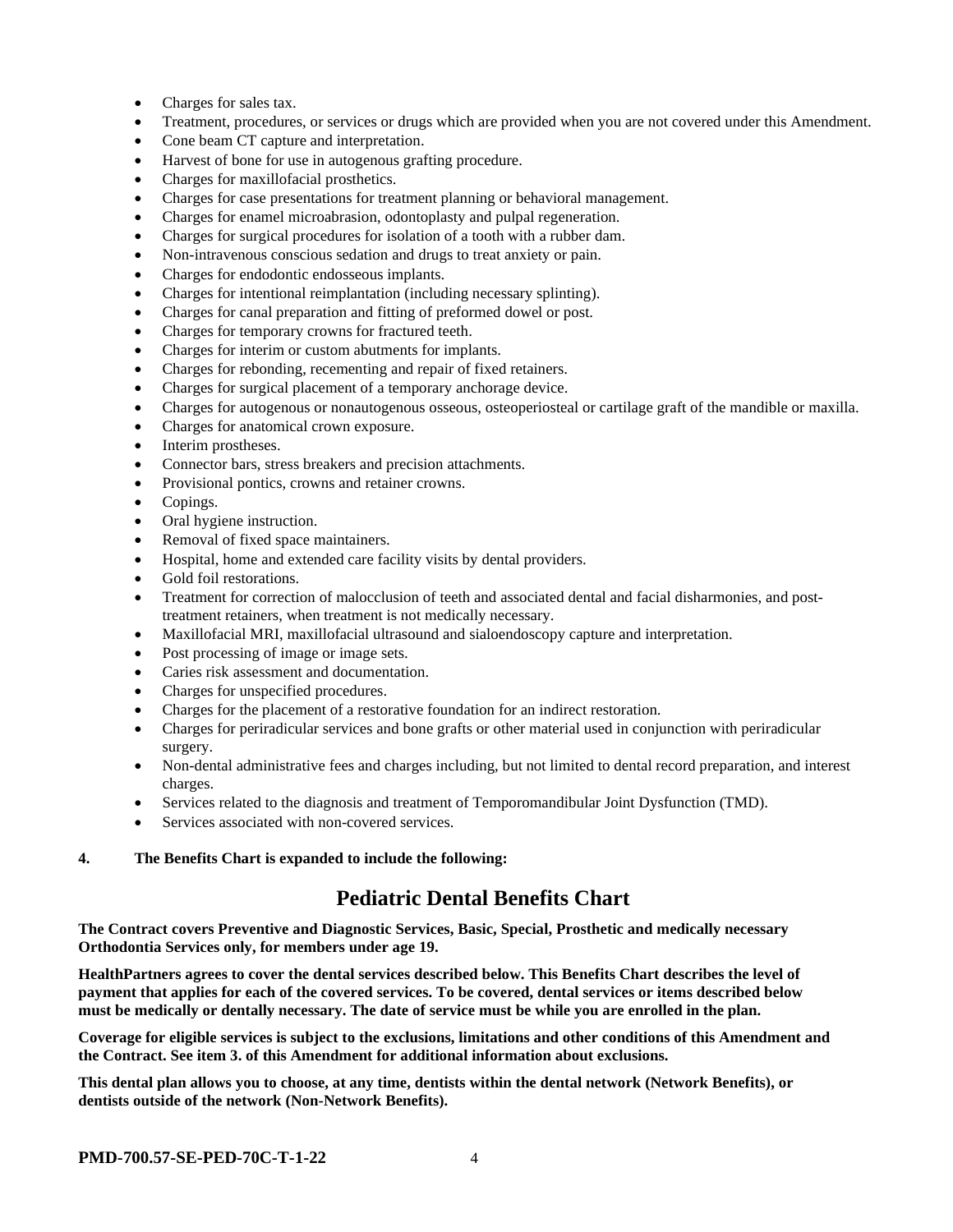- Charges for sales tax.
- Treatment, procedures, or services or drugs which are provided when you are not covered under this Amendment.
- Cone beam CT capture and interpretation.
- Harvest of bone for use in autogenous grafting procedure.
- Charges for maxillofacial prosthetics.
- Charges for case presentations for treatment planning or behavioral management.
- Charges for enamel microabrasion, odontoplasty and pulpal regeneration.
- Charges for surgical procedures for isolation of a tooth with a rubber dam.
- Non-intravenous conscious sedation and drugs to treat anxiety or pain.
- Charges for endodontic endosseous implants.
- Charges for intentional reimplantation (including necessary splinting).
- Charges for canal preparation and fitting of preformed dowel or post.
- Charges for temporary crowns for fractured teeth.
- Charges for interim or custom abutments for implants.
- Charges for rebonding, recementing and repair of fixed retainers.
- Charges for surgical placement of a temporary anchorage device.
- Charges for autogenous or nonautogenous osseous, osteoperiosteal or cartilage graft of the mandible or maxilla.
- Charges for anatomical crown exposure.
- Interim prostheses.
- Connector bars, stress breakers and precision attachments.
- Provisional pontics, crowns and retainer crowns.
- Copings.
- Oral hygiene instruction.
- Removal of fixed space maintainers.
- Hospital, home and extended care facility visits by dental providers.
- Gold foil restorations.
- Treatment for correction of malocclusion of teeth and associated dental and facial disharmonies, and posttreatment retainers, when treatment is not medically necessary.
- Maxillofacial MRI, maxillofacial ultrasound and sialoendoscopy capture and interpretation.
- Post processing of image or image sets.
- Caries risk assessment and documentation.
- Charges for unspecified procedures.
- Charges for the placement of a restorative foundation for an indirect restoration.
- Charges for periradicular services and bone grafts or other material used in conjunction with periradicular surgery.
- Non-dental administrative fees and charges including, but not limited to dental record preparation, and interest charges.
- Services related to the diagnosis and treatment of Temporomandibular Joint Dysfunction (TMD).
- Services associated with non-covered services.

#### **4. The Benefits Chart is expanded to include the following:**

# **Pediatric Dental Benefits Chart**

**The Contract covers Preventive and Diagnostic Services, Basic, Special, Prosthetic and medically necessary Orthodontia Services only, for members under age 19.**

**HealthPartners agrees to cover the dental services described below. This Benefits Chart describes the level of payment that applies for each of the covered services. To be covered, dental services or items described below must be medically or dentally necessary. The date of service must be while you are enrolled in the plan.**

**Coverage for eligible services is subject to the exclusions, limitations and other conditions of this Amendment and the Contract. See item 3. of this Amendment for additional information about exclusions.**

**This dental plan allows you to choose, at any time, dentists within the dental network (Network Benefits), or dentists outside of the network (Non-Network Benefits).**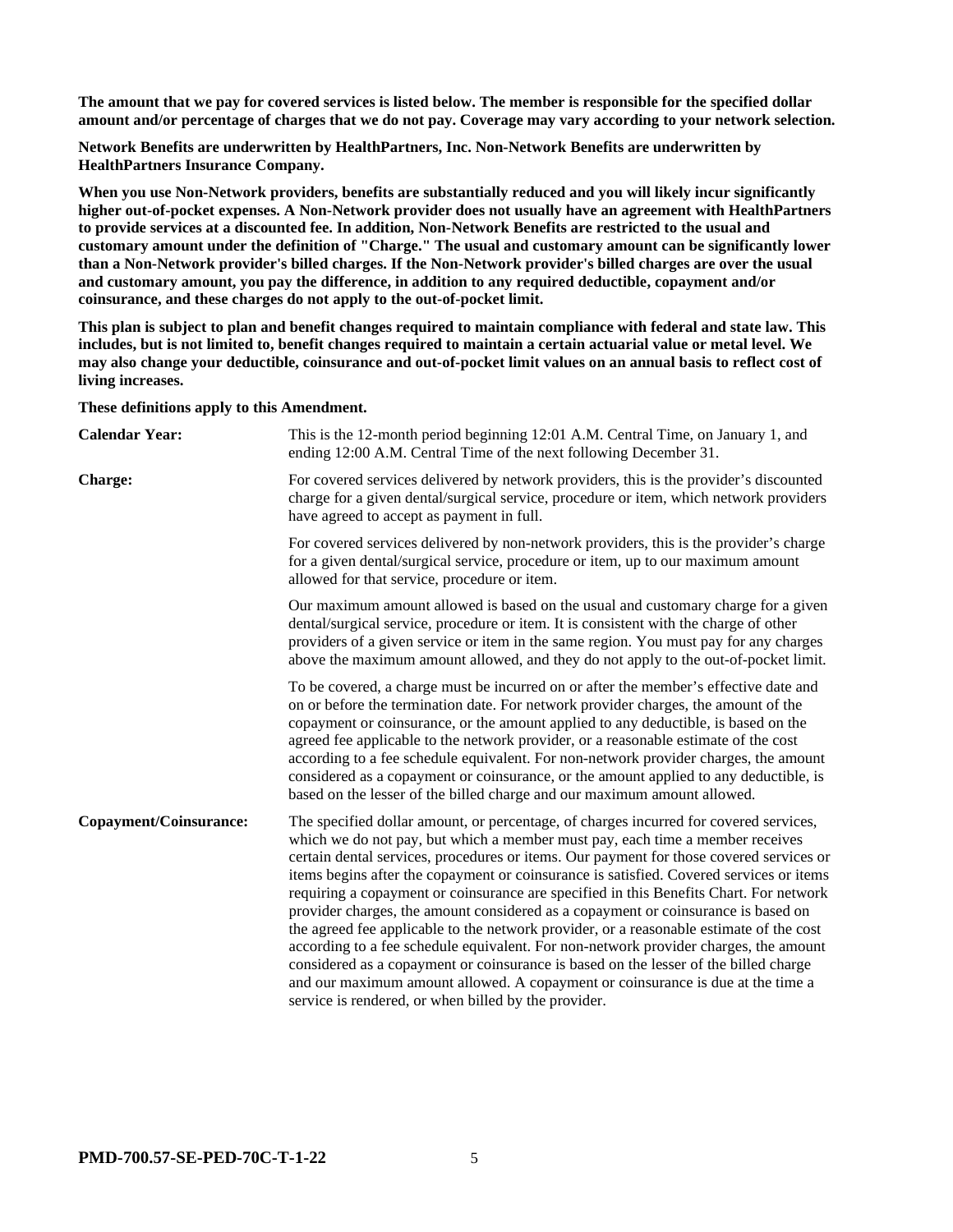**The amount that we pay for covered services is listed below. The member is responsible for the specified dollar amount and/or percentage of charges that we do not pay. Coverage may vary according to your network selection.**

**Network Benefits are underwritten by HealthPartners, Inc. Non-Network Benefits are underwritten by HealthPartners Insurance Company.**

**When you use Non-Network providers, benefits are substantially reduced and you will likely incur significantly higher out-of-pocket expenses. A Non-Network provider does not usually have an agreement with HealthPartners to provide services at a discounted fee. In addition, Non-Network Benefits are restricted to the usual and customary amount under the definition of "Charge." The usual and customary amount can be significantly lower than a Non-Network provider's billed charges. If the Non-Network provider's billed charges are over the usual and customary amount, you pay the difference, in addition to any required deductible, copayment and/or coinsurance, and these charges do not apply to the out-of-pocket limit.**

**This plan is subject to plan and benefit changes required to maintain compliance with federal and state law. This includes, but is not limited to, benefit changes required to maintain a certain actuarial value or metal level. We may also change your deductible, coinsurance and out-of-pocket limit values on an annual basis to reflect cost of living increases.**

**These definitions apply to this Amendment.**

| <b>Calendar Year:</b>         | This is the 12-month period beginning 12:01 A.M. Central Time, on January 1, and<br>ending 12:00 A.M. Central Time of the next following December 31.                                                                                                                                                                                                                                                                                                                                                                                                                                                                                                                                                                                                                                                                                                                                                                                                             |
|-------------------------------|-------------------------------------------------------------------------------------------------------------------------------------------------------------------------------------------------------------------------------------------------------------------------------------------------------------------------------------------------------------------------------------------------------------------------------------------------------------------------------------------------------------------------------------------------------------------------------------------------------------------------------------------------------------------------------------------------------------------------------------------------------------------------------------------------------------------------------------------------------------------------------------------------------------------------------------------------------------------|
| <b>Charge:</b>                | For covered services delivered by network providers, this is the provider's discounted<br>charge for a given dental/surgical service, procedure or item, which network providers<br>have agreed to accept as payment in full.                                                                                                                                                                                                                                                                                                                                                                                                                                                                                                                                                                                                                                                                                                                                     |
|                               | For covered services delivered by non-network providers, this is the provider's charge<br>for a given dental/surgical service, procedure or item, up to our maximum amount<br>allowed for that service, procedure or item.                                                                                                                                                                                                                                                                                                                                                                                                                                                                                                                                                                                                                                                                                                                                        |
|                               | Our maximum amount allowed is based on the usual and customary charge for a given<br>dental/surgical service, procedure or item. It is consistent with the charge of other<br>providers of a given service or item in the same region. You must pay for any charges<br>above the maximum amount allowed, and they do not apply to the out-of-pocket limit.                                                                                                                                                                                                                                                                                                                                                                                                                                                                                                                                                                                                        |
|                               | To be covered, a charge must be incurred on or after the member's effective date and<br>on or before the termination date. For network provider charges, the amount of the<br>copayment or coinsurance, or the amount applied to any deductible, is based on the<br>agreed fee applicable to the network provider, or a reasonable estimate of the cost<br>according to a fee schedule equivalent. For non-network provider charges, the amount<br>considered as a copayment or coinsurance, or the amount applied to any deductible, is<br>based on the lesser of the billed charge and our maximum amount allowed.                                                                                                                                                                                                                                                                                                                                              |
| <b>Copayment/Coinsurance:</b> | The specified dollar amount, or percentage, of charges incurred for covered services,<br>which we do not pay, but which a member must pay, each time a member receives<br>certain dental services, procedures or items. Our payment for those covered services or<br>items begins after the copayment or coinsurance is satisfied. Covered services or items<br>requiring a copayment or coinsurance are specified in this Benefits Chart. For network<br>provider charges, the amount considered as a copayment or coinsurance is based on<br>the agreed fee applicable to the network provider, or a reasonable estimate of the cost<br>according to a fee schedule equivalent. For non-network provider charges, the amount<br>considered as a copayment or coinsurance is based on the lesser of the billed charge<br>and our maximum amount allowed. A copayment or coinsurance is due at the time a<br>service is rendered, or when billed by the provider. |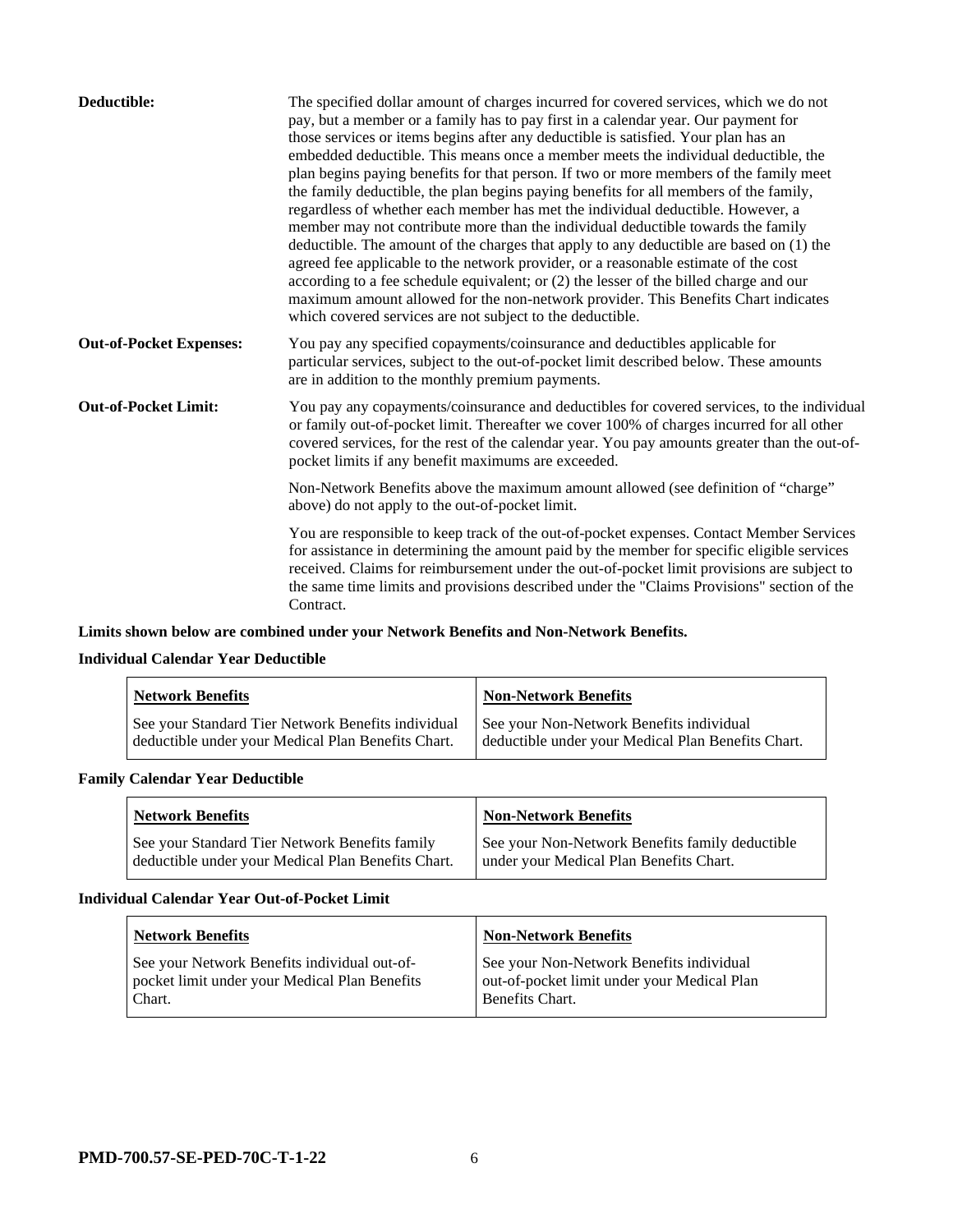| Deductible:                    | The specified dollar amount of charges incurred for covered services, which we do not<br>pay, but a member or a family has to pay first in a calendar year. Our payment for<br>those services or items begins after any deductible is satisfied. Your plan has an<br>embedded deductible. This means once a member meets the individual deductible, the<br>plan begins paying benefits for that person. If two or more members of the family meet<br>the family deductible, the plan begins paying benefits for all members of the family,<br>regardless of whether each member has met the individual deductible. However, a<br>member may not contribute more than the individual deductible towards the family<br>deductible. The amount of the charges that apply to any deductible are based on (1) the<br>agreed fee applicable to the network provider, or a reasonable estimate of the cost<br>according to a fee schedule equivalent; or (2) the lesser of the billed charge and our<br>maximum amount allowed for the non-network provider. This Benefits Chart indicates<br>which covered services are not subject to the deductible. |
|--------------------------------|--------------------------------------------------------------------------------------------------------------------------------------------------------------------------------------------------------------------------------------------------------------------------------------------------------------------------------------------------------------------------------------------------------------------------------------------------------------------------------------------------------------------------------------------------------------------------------------------------------------------------------------------------------------------------------------------------------------------------------------------------------------------------------------------------------------------------------------------------------------------------------------------------------------------------------------------------------------------------------------------------------------------------------------------------------------------------------------------------------------------------------------------------|
| <b>Out-of-Pocket Expenses:</b> | You pay any specified copayments/coinsurance and deductibles applicable for<br>particular services, subject to the out-of-pocket limit described below. These amounts<br>are in addition to the monthly premium payments.                                                                                                                                                                                                                                                                                                                                                                                                                                                                                                                                                                                                                                                                                                                                                                                                                                                                                                                        |
| <b>Out-of-Pocket Limit:</b>    | You pay any copayments/coinsurance and deductibles for covered services, to the individual<br>or family out-of-pocket limit. Thereafter we cover 100% of charges incurred for all other<br>covered services, for the rest of the calendar year. You pay amounts greater than the out-of-<br>pocket limits if any benefit maximums are exceeded.                                                                                                                                                                                                                                                                                                                                                                                                                                                                                                                                                                                                                                                                                                                                                                                                  |
|                                | Non-Network Benefits above the maximum amount allowed (see definition of "charge"<br>above) do not apply to the out-of-pocket limit.                                                                                                                                                                                                                                                                                                                                                                                                                                                                                                                                                                                                                                                                                                                                                                                                                                                                                                                                                                                                             |
|                                | You are responsible to keep track of the out-of-pocket expenses. Contact Member Services<br>for assistance in determining the amount paid by the member for specific eligible services<br>received. Claims for reimbursement under the out-of-pocket limit provisions are subject to<br>the same time limits and provisions described under the "Claims Provisions" section of the<br>Contract.                                                                                                                                                                                                                                                                                                                                                                                                                                                                                                                                                                                                                                                                                                                                                  |

# **Limits shown below are combined under your Network Benefits and Non-Network Benefits.**

# **Individual Calendar Year Deductible**

| <b>Network Benefits</b>                            | <b>Non-Network Benefits</b>                        |
|----------------------------------------------------|----------------------------------------------------|
| See your Standard Tier Network Benefits individual | See your Non-Network Benefits individual           |
| deductible under your Medical Plan Benefits Chart. | deductible under your Medical Plan Benefits Chart. |

### **Family Calendar Year Deductible**

| <b>Network Benefits</b>                            | <b>Non-Network Benefits</b>                     |
|----------------------------------------------------|-------------------------------------------------|
| See your Standard Tier Network Benefits family     | See your Non-Network Benefits family deductible |
| deductible under your Medical Plan Benefits Chart. | under your Medical Plan Benefits Chart.         |

#### **Individual Calendar Year Out-of-Pocket Limit**

| <b>Network Benefits</b>                                                                                 | <b>Non-Network Benefits</b>                                                                                |
|---------------------------------------------------------------------------------------------------------|------------------------------------------------------------------------------------------------------------|
| See your Network Benefits individual out-of-<br>pocket limit under your Medical Plan Benefits<br>Chart. | See your Non-Network Benefits individual<br>out-of-pocket limit under your Medical Plan<br>Benefits Chart. |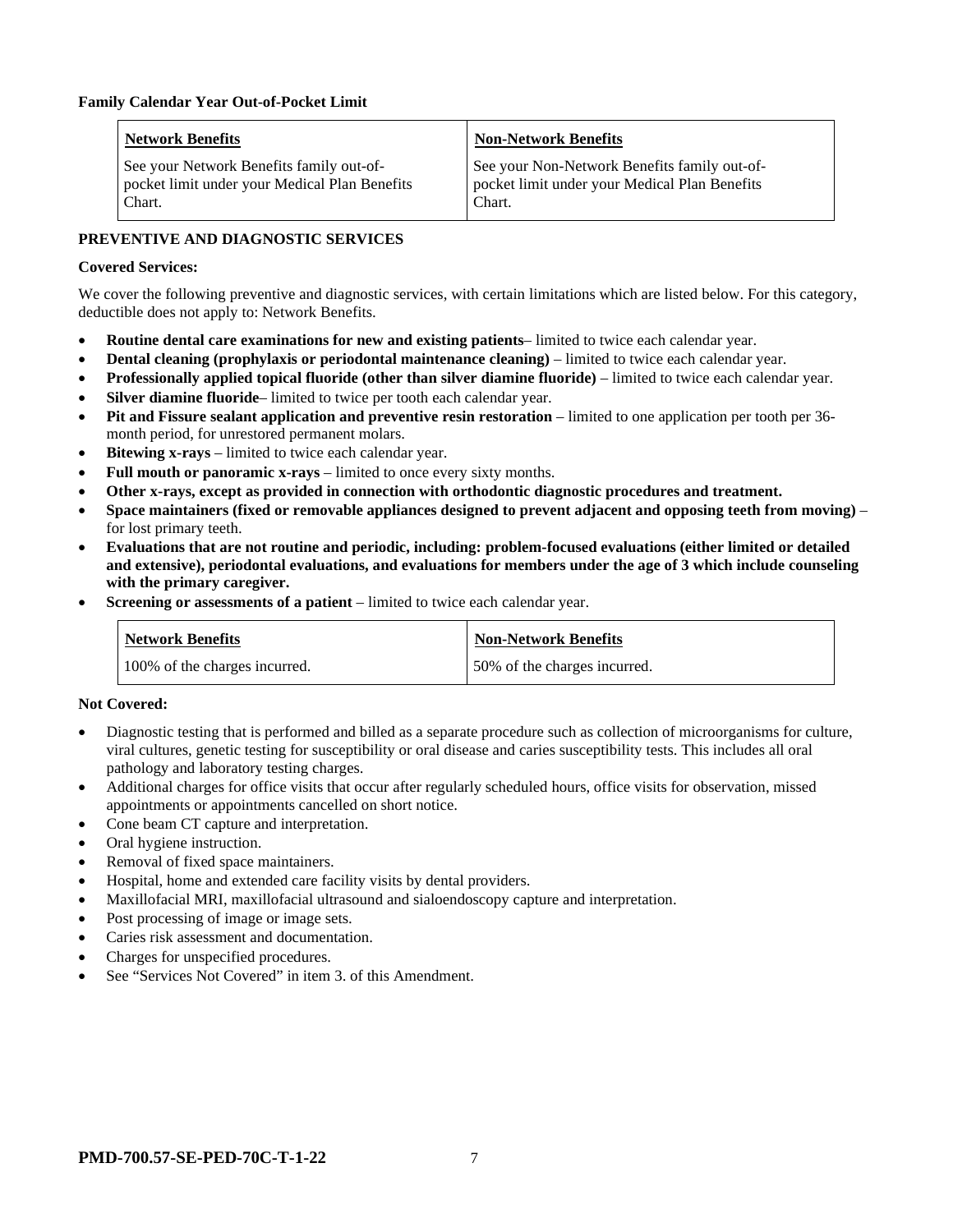| <b>Network Benefits</b>                                                                             | <b>Non-Network Benefits</b>                                                                             |
|-----------------------------------------------------------------------------------------------------|---------------------------------------------------------------------------------------------------------|
| See your Network Benefits family out-of-<br>pocket limit under your Medical Plan Benefits<br>Chart. | See your Non-Network Benefits family out-of-<br>pocket limit under your Medical Plan Benefits<br>Chart. |

# **PREVENTIVE AND DIAGNOSTIC SERVICES**

#### **Covered Services:**

We cover the following preventive and diagnostic services, with certain limitations which are listed below. For this category, deductible does not apply to: Network Benefits.

- **Routine dental care examinations for new and existing patients** limited to twice each calendar year.
- **Dental cleaning (prophylaxis or periodontal maintenance cleaning)** limited to twice each calendar year.
- **Professionally applied topical fluoride (other than silver diamine fluoride)** limited to twice each calendar year.
- **Silver diamine fluoride** limited to twice per tooth each calendar year.
- **Pit and Fissure sealant application and preventive resin restoration** limited to one application per tooth per 36 month period, for unrestored permanent molars.
- **Bitewing x-rays** limited to twice each calendar year.
- **Full mouth or panoramic x-rays** limited to once every sixty months.
- **Other x-rays, except as provided in connection with orthodontic diagnostic procedures and treatment.**
- **Space maintainers (fixed or removable appliances designed to prevent adjacent and opposing teeth from moving)** for lost primary teeth.
- **Evaluations that are not routine and periodic, including: problem-focused evaluations (either limited or detailed and extensive), periodontal evaluations, and evaluations for members under the age of 3 which include counseling with the primary caregiver.**
- **Screening or assessments of a patient** limited to twice each calendar year.

| Network Benefits              | <b>Non-Network Benefits</b>  |
|-------------------------------|------------------------------|
| 100% of the charges incurred. | 50% of the charges incurred. |

#### **Not Covered:**

- Diagnostic testing that is performed and billed as a separate procedure such as collection of microorganisms for culture, viral cultures, genetic testing for susceptibility or oral disease and caries susceptibility tests. This includes all oral pathology and laboratory testing charges.
- Additional charges for office visits that occur after regularly scheduled hours, office visits for observation, missed appointments or appointments cancelled on short notice.
- Cone beam CT capture and interpretation.
- Oral hygiene instruction.
- Removal of fixed space maintainers.
- Hospital, home and extended care facility visits by dental providers.
- Maxillofacial MRI, maxillofacial ultrasound and sialoendoscopy capture and interpretation.
- Post processing of image or image sets.
- Caries risk assessment and documentation.
- Charges for unspecified procedures.
- See "Services Not Covered" in item 3. of this Amendment.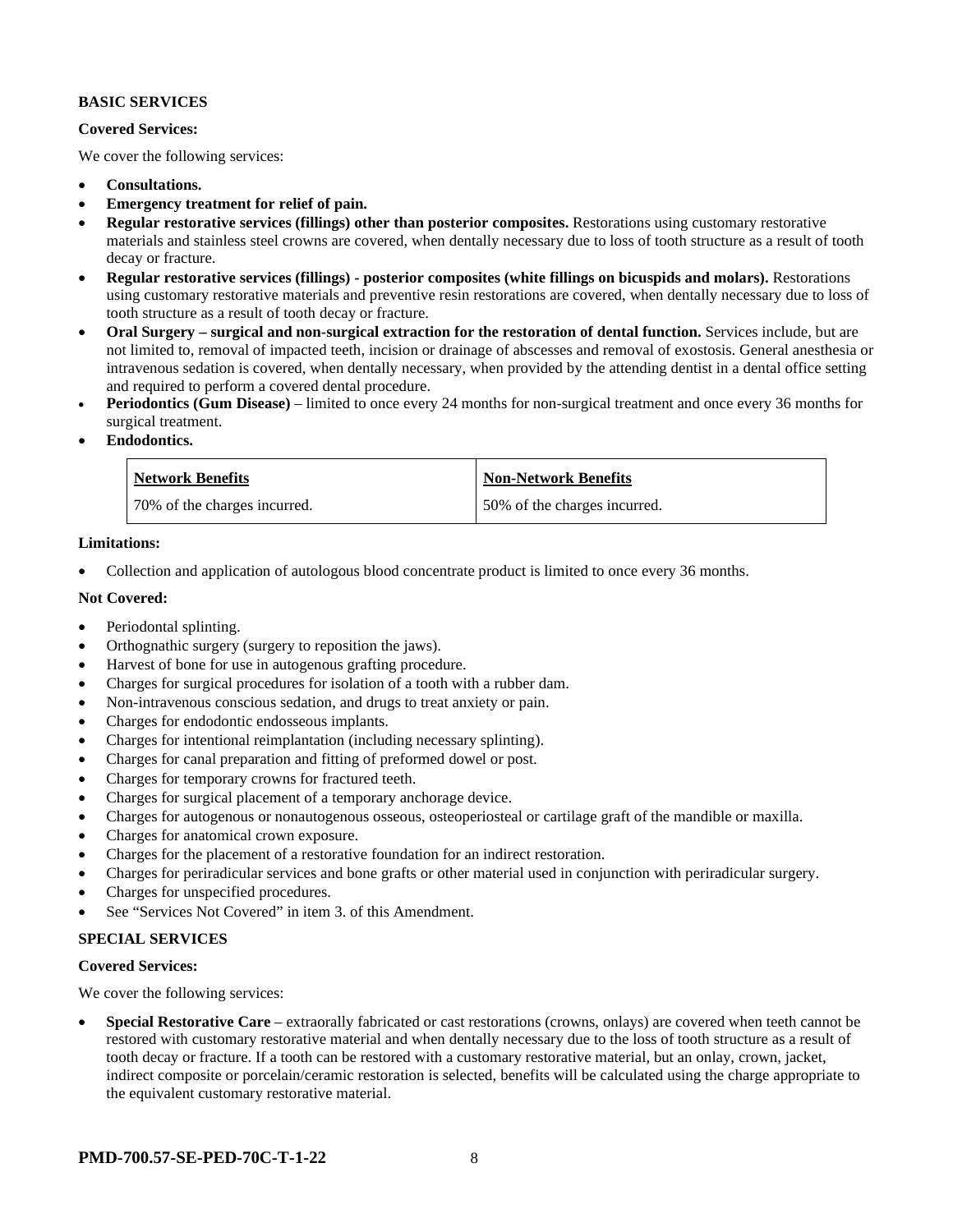#### **BASIC SERVICES**

#### **Covered Services:**

We cover the following services:

- **Consultations.**
- **Emergency treatment for relief of pain.**
- **Regular restorative services (fillings) other than posterior composites.** Restorations using customary restorative materials and stainless steel crowns are covered, when dentally necessary due to loss of tooth structure as a result of tooth decay or fracture.
- **Regular restorative services (fillings) - posterior composites (white fillings on bicuspids and molars).** Restorations using customary restorative materials and preventive resin restorations are covered, when dentally necessary due to loss of tooth structure as a result of tooth decay or fracture.
- **Oral Surgery – surgical and non-surgical extraction for the restoration of dental function.** Services include, but are not limited to, removal of impacted teeth, incision or drainage of abscesses and removal of exostosis. General anesthesia or intravenous sedation is covered, when dentally necessary, when provided by the attending dentist in a dental office setting and required to perform a covered dental procedure.
- **Periodontics (Gum Disease)** limited to once every 24 months for non-surgical treatment and once every 36 months for surgical treatment.
- **Endodontics.**

| <b>Network Benefits</b>      | <b>Non-Network Benefits</b>  |
|------------------------------|------------------------------|
| 70% of the charges incurred. | 50% of the charges incurred. |

#### **Limitations:**

• Collection and application of autologous blood concentrate product is limited to once every 36 months.

#### **Not Covered:**

- Periodontal splinting.
- Orthognathic surgery (surgery to reposition the jaws).
- Harvest of bone for use in autogenous grafting procedure.
- Charges for surgical procedures for isolation of a tooth with a rubber dam.
- Non-intravenous conscious sedation, and drugs to treat anxiety or pain.
- Charges for endodontic endosseous implants.
- Charges for intentional reimplantation (including necessary splinting).
- Charges for canal preparation and fitting of preformed dowel or post.
- Charges for temporary crowns for fractured teeth.
- Charges for surgical placement of a temporary anchorage device.
- Charges for autogenous or nonautogenous osseous, osteoperiosteal or cartilage graft of the mandible or maxilla.
- Charges for anatomical crown exposure.
- Charges for the placement of a restorative foundation for an indirect restoration.
- Charges for periradicular services and bone grafts or other material used in conjunction with periradicular surgery.
- Charges for unspecified procedures.
- See "Services Not Covered" in item 3. of this Amendment.

# **SPECIAL SERVICES**

#### **Covered Services:**

We cover the following services:

• **Special Restorative Care** – extraorally fabricated or cast restorations (crowns, onlays) are covered when teeth cannot be restored with customary restorative material and when dentally necessary due to the loss of tooth structure as a result of tooth decay or fracture. If a tooth can be restored with a customary restorative material, but an onlay, crown, jacket, indirect composite or porcelain/ceramic restoration is selected, benefits will be calculated using the charge appropriate to the equivalent customary restorative material.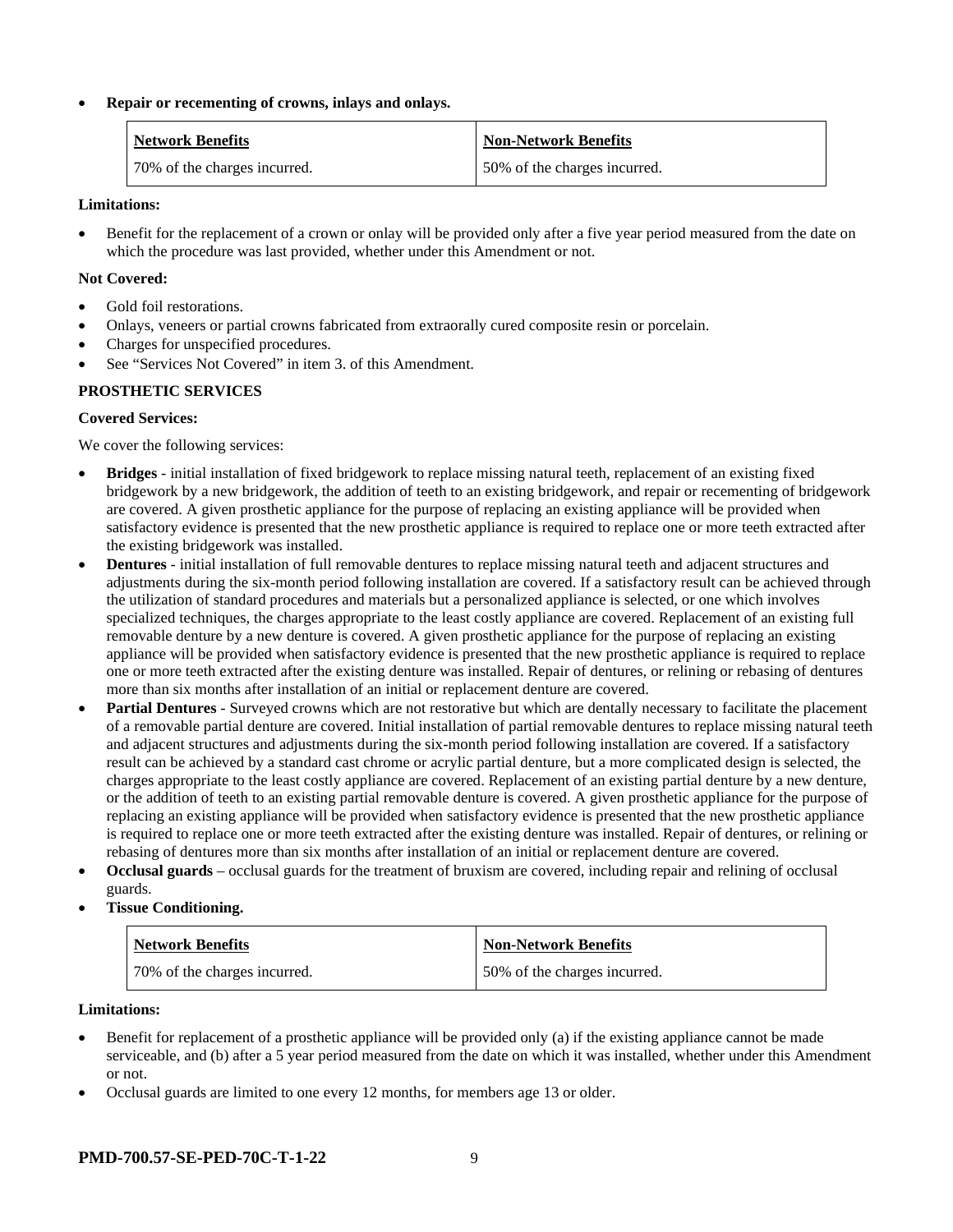#### • **Repair or recementing of crowns, inlays and onlays.**

| <b>Network Benefits</b>      | <b>Non-Network Benefits</b>  |
|------------------------------|------------------------------|
| 70% of the charges incurred. | 50% of the charges incurred. |

#### **Limitations:**

• Benefit for the replacement of a crown or onlay will be provided only after a five year period measured from the date on which the procedure was last provided, whether under this Amendment or not.

#### **Not Covered:**

- Gold foil restorations.
- Onlays, veneers or partial crowns fabricated from extraorally cured composite resin or porcelain.
- Charges for unspecified procedures.
- See "Services Not Covered" in item 3. of this Amendment.

#### **PROSTHETIC SERVICES**

#### **Covered Services:**

We cover the following services:

- **Bridges** initial installation of fixed bridgework to replace missing natural teeth, replacement of an existing fixed bridgework by a new bridgework, the addition of teeth to an existing bridgework, and repair or recementing of bridgework are covered. A given prosthetic appliance for the purpose of replacing an existing appliance will be provided when satisfactory evidence is presented that the new prosthetic appliance is required to replace one or more teeth extracted after the existing bridgework was installed.
- **Dentures** initial installation of full removable dentures to replace missing natural teeth and adjacent structures and adjustments during the six-month period following installation are covered. If a satisfactory result can be achieved through the utilization of standard procedures and materials but a personalized appliance is selected, or one which involves specialized techniques, the charges appropriate to the least costly appliance are covered. Replacement of an existing full removable denture by a new denture is covered. A given prosthetic appliance for the purpose of replacing an existing appliance will be provided when satisfactory evidence is presented that the new prosthetic appliance is required to replace one or more teeth extracted after the existing denture was installed. Repair of dentures, or relining or rebasing of dentures more than six months after installation of an initial or replacement denture are covered.
- **Partial Dentures** Surveyed crowns which are not restorative but which are dentally necessary to facilitate the placement of a removable partial denture are covered. Initial installation of partial removable dentures to replace missing natural teeth and adjacent structures and adjustments during the six-month period following installation are covered. If a satisfactory result can be achieved by a standard cast chrome or acrylic partial denture, but a more complicated design is selected, the charges appropriate to the least costly appliance are covered. Replacement of an existing partial denture by a new denture, or the addition of teeth to an existing partial removable denture is covered. A given prosthetic appliance for the purpose of replacing an existing appliance will be provided when satisfactory evidence is presented that the new prosthetic appliance is required to replace one or more teeth extracted after the existing denture was installed. Repair of dentures, or relining or rebasing of dentures more than six months after installation of an initial or replacement denture are covered.
- **Occlusal guards** occlusal guards for the treatment of bruxism are covered, including repair and relining of occlusal guards.
- **Tissue Conditioning.**

| <b>Network Benefits</b>      | <b>Non-Network Benefits</b>  |
|------------------------------|------------------------------|
| 70% of the charges incurred. | 50% of the charges incurred. |

#### **Limitations:**

- Benefit for replacement of a prosthetic appliance will be provided only (a) if the existing appliance cannot be made serviceable, and (b) after a 5 year period measured from the date on which it was installed, whether under this Amendment or not.
- Occlusal guards are limited to one every 12 months, for members age 13 or older.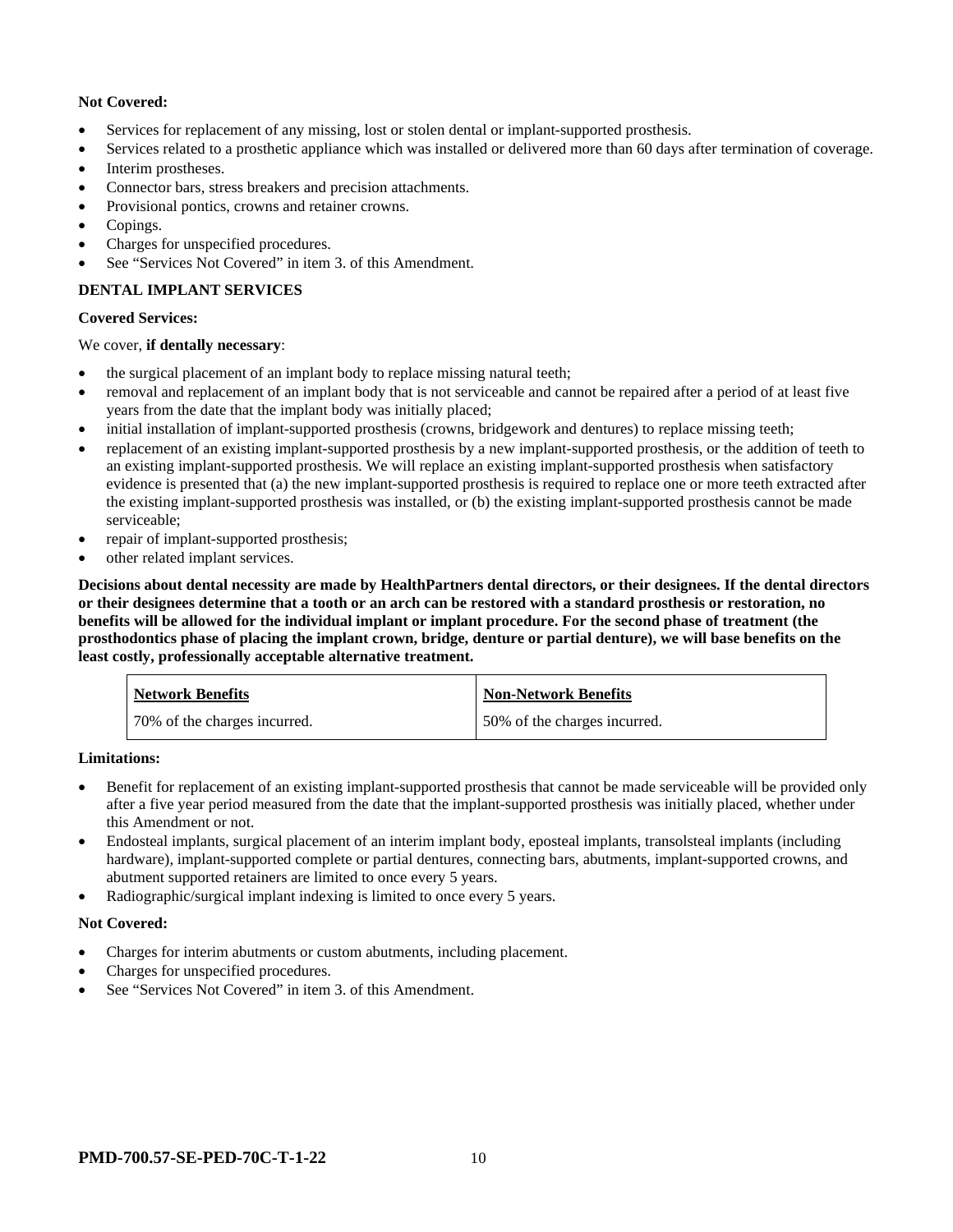# **Not Covered:**

- Services for replacement of any missing, lost or stolen dental or implant-supported prosthesis.
- Services related to a prosthetic appliance which was installed or delivered more than 60 days after termination of coverage.
- Interim prostheses.
- Connector bars, stress breakers and precision attachments.
- Provisional pontics, crowns and retainer crowns.
- Copings.
- Charges for unspecified procedures.
- See "Services Not Covered" in item 3. of this Amendment.

# **DENTAL IMPLANT SERVICES**

#### **Covered Services:**

#### We cover, **if dentally necessary**:

- the surgical placement of an implant body to replace missing natural teeth;
- removal and replacement of an implant body that is not serviceable and cannot be repaired after a period of at least five years from the date that the implant body was initially placed;
- initial installation of implant-supported prosthesis (crowns, bridgework and dentures) to replace missing teeth;
- replacement of an existing implant-supported prosthesis by a new implant-supported prosthesis, or the addition of teeth to an existing implant-supported prosthesis. We will replace an existing implant-supported prosthesis when satisfactory evidence is presented that (a) the new implant-supported prosthesis is required to replace one or more teeth extracted after the existing implant-supported prosthesis was installed, or (b) the existing implant-supported prosthesis cannot be made serviceable;
- repair of implant-supported prosthesis;
- other related implant services.

**Decisions about dental necessity are made by HealthPartners dental directors, or their designees. If the dental directors or their designees determine that a tooth or an arch can be restored with a standard prosthesis or restoration, no benefits will be allowed for the individual implant or implant procedure. For the second phase of treatment (the prosthodontics phase of placing the implant crown, bridge, denture or partial denture), we will base benefits on the least costly, professionally acceptable alternative treatment.**

| <b>Network Benefits</b>      | <b>Non-Network Benefits</b>  |
|------------------------------|------------------------------|
| 70% of the charges incurred. | 50% of the charges incurred. |

#### **Limitations:**

- Benefit for replacement of an existing implant-supported prosthesis that cannot be made serviceable will be provided only after a five year period measured from the date that the implant-supported prosthesis was initially placed, whether under this Amendment or not.
- Endosteal implants, surgical placement of an interim implant body, eposteal implants, transolsteal implants (including hardware), implant-supported complete or partial dentures, connecting bars, abutments, implant-supported crowns, and abutment supported retainers are limited to once every 5 years.
- Radiographic/surgical implant indexing is limited to once every 5 years.

#### **Not Covered:**

- Charges for interim abutments or custom abutments, including placement.
- Charges for unspecified procedures.
- See "Services Not Covered" in item 3. of this Amendment.